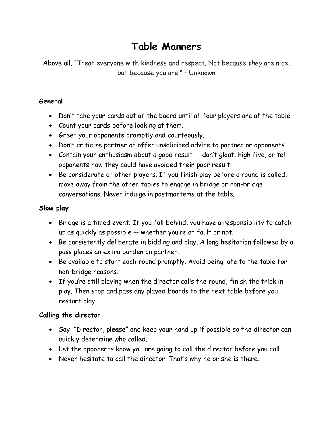# **Table Manners**

Above all, "Treat everyone with kindness and respect. Not because *they* are nice, but because *you* are." – Unknown

#### **General**

- Don't take your cards out of the board until all four players are at the table.
- Count your cards before looking at them.
- Greet your opponents promptly and courteously.
- Don't criticize partner or offer unsolicited advice to partner or opponents.
- Contain your enthusiasm about a good result -- don't gloat, high five, or tell opponents how they could have avoided their poor result!
- Be considerate of other players. If you finish play before a round is called, move away from the other tables to engage in bridge or non-bridge conversations. Never indulge in postmortems at the table.

#### **Slow play**

- Bridge is a timed event. If you fall behind, you have a responsibility to catch up as quickly as possible -- whether you're at fault or not.
- Be consistently deliberate in bidding and play. A long hesitation followed by a pass places an extra burden on partner.
- Be available to start each round promptly. Avoid being late to the table for non-bridge reasons.
- If you're still playing when the director calls the round, finish the trick in play. Then stop and pass any played boards to the next table before you restart play.

#### **Calling the director**

- Say, "Director, **please**" and keep your hand up if possible so the director can quickly determine who called.
- Let the opponents know you are going to call the director before you call.
- Never hesitate to call the director. That's why he or she is there.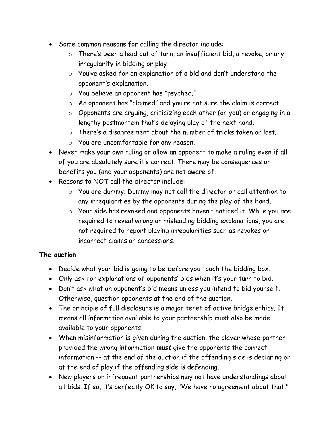- Some common reasons for calling the director include:
	- o There's been a lead out of turn, an insufficient bid, a revoke, or any irregularity in bidding or play.
	- o You've asked for an explanation of a bid and don't understand the opponent's explanation.
	- o You believe an opponent has "psyched."
	- o An opponent has "claimed" and you're not sure the claim is correct.
	- o Opponents are arguing, criticizing each other (or you) or engaging in a lengthy postmortem that's delaying play of the next hand.
	- o There's a disagreement about the number of tricks taken or lost.
	- o You are uncomfortable for any reason.
- Never make your own ruling or allow an opponent to make a ruling even if all of you are absolutely sure it's correct. There may be consequences or benefits you (and your opponents) are not aware of.
- Reasons to NOT call the director include:
	- o You are dummy. Dummy may not call the director or call attention to any irregularities by the opponents during the play of the hand.
	- o Your side has revoked and opponents haven't noticed it. While you *are*  required to reveal wrong or misleading bidding explanations, you are not required to report playing irregularities such as revokes or incorrect claims or concessions.

## **The auction**

- Decide what your bid is going to be *before* you touch the bidding box.
- Only ask for explanations of opponents' bids when it's your turn to bid.
- Don't ask what an opponent's bid means unless you intend to bid yourself. Otherwise, question opponents at the end of the auction.
- The principle of full disclosure is a major tenet of active bridge ethics. It means all information available to your partnership must also be made available to your opponents.
- When misinformation is given during the auction, the player whose partner provided the wrong information *must* give the opponents the correct information -- at the end of the auction if the offending side is declaring or at the end of play if the offending side is defending.
- New players or infrequent partnerships may not have understandings about all bids. If so, it's perfectly OK to say, "We have no agreement about that."